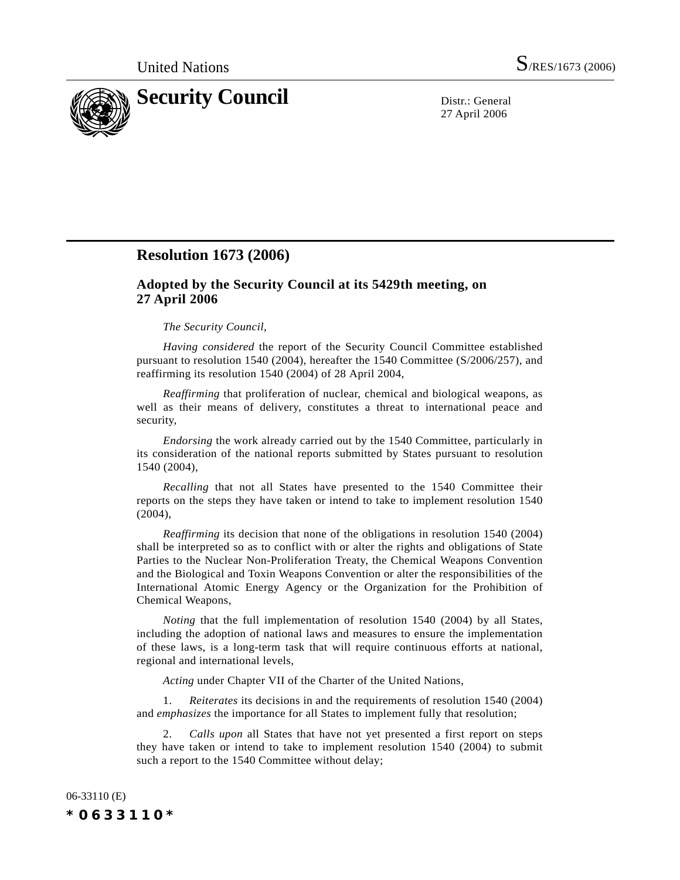

27 April 2006

## **Resolution 1673 (2006)**

## **Adopted by the Security Council at its 5429th meeting, on 27 April 2006**

## *The Security Council*,

*Having considered* the report of the Security Council Committee established pursuant to resolution 1540 (2004), hereafter the 1540 Committee (S/2006/257), and reaffirming its resolution 1540 (2004) of 28 April 2004,

*Reaffirming* that proliferation of nuclear, chemical and biological weapons, as well as their means of delivery, constitutes a threat to international peace and security,

*Endorsing* the work already carried out by the 1540 Committee, particularly in its consideration of the national reports submitted by States pursuant to resolution 1540 (2004),

*Recalling* that not all States have presented to the 1540 Committee their reports on the steps they have taken or intend to take to implement resolution 1540 (2004),

*Reaffirming* its decision that none of the obligations in resolution 1540 (2004) shall be interpreted so as to conflict with or alter the rights and obligations of State Parties to the Nuclear Non-Proliferation Treaty, the Chemical Weapons Convention and the Biological and Toxin Weapons Convention or alter the responsibilities of the International Atomic Energy Agency or the Organization for the Prohibition of Chemical Weapons,

*Noting* that the full implementation of resolution 1540 (2004) by all States, including the adoption of national laws and measures to ensure the implementation of these laws, is a long-term task that will require continuous efforts at national, regional and international levels,

*Acting* under Chapter VII of the Charter of the United Nations,

1. *Reiterates* its decisions in and the requirements of resolution 1540 (2004) and *emphasizes* the importance for all States to implement fully that resolution;

2. *Calls upon* all States that have not yet presented a first report on steps they have taken or intend to take to implement resolution 1540 (2004) to submit such a report to the 1540 Committee without delay;

06-33110 (E) *\*0633110\**